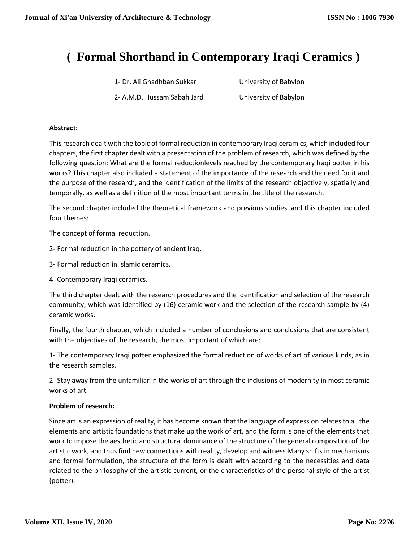# **( Formal Shorthand in Contemporary Iraqi Ceramics )**

1- Dr. Ali Ghadhban Sukkar University of Babylon

2- A.M.D. Hussam Sabah Jard University of Babylon

# **Abstract:**

This research dealt with the topic of formal reduction in contemporary Iraqi ceramics, which included four chapters, the first chapter dealt with a presentation of the problem of research, which was defined by the following question: What are the formal reductionlevels reached by the contemporary Iraqi potter in his works? This chapter also included a statement of the importance of the research and the need for it and the purpose of the research, and the identification of the limits of the research objectively, spatially and temporally, as well as a definition of the most important terms in the title of the research.

The second chapter included the theoretical framework and previous studies, and this chapter included four themes:

The concept of formal reduction.

- 2- Formal reduction in the pottery of ancient Iraq.
- 3- Formal reduction in Islamic ceramics.
- 4- Contemporary Iraqi ceramics.

The third chapter dealt with the research procedures and the identification and selection of the research community, which was identified by (16) ceramic work and the selection of the research sample by (4) ceramic works.

Finally, the fourth chapter, which included a number of conclusions and conclusions that are consistent with the objectives of the research, the most important of which are:

1- The contemporary Iraqi potter emphasized the formal reduction of works of art of various kinds, as in the research samples.

2- Stay away from the unfamiliar in the works of art through the inclusions of modernity in most ceramic works of art.

# **Problem of research:**

Since art is an expression of reality, it has become known that the language of expression relates to all the elements and artistic foundations that make up the work of art, and the form is one of the elements that work to impose the aesthetic and structural dominance of the structure of the general composition of the artistic work, and thus find new connections with reality, develop and witness Many shifts in mechanisms and formal formulation, the structure of the form is dealt with according to the necessities and data related to the philosophy of the artistic current, or the characteristics of the personal style of the artist (potter).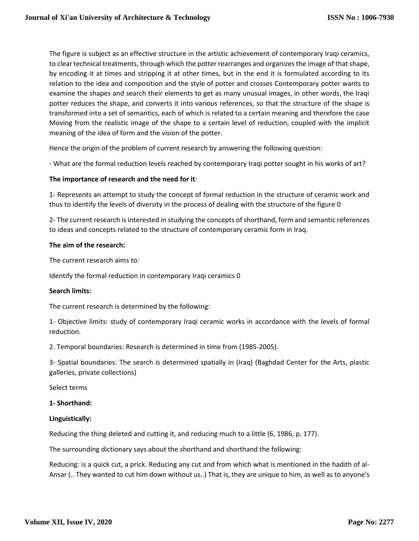The figure is subject as an effective structure in the artistic achievement of contemporary Iraqi ceramics, to clear technical treatments, through which the potter rearranges and organizes the image of that shape, by encoding it at times and stripping it at other times, but in the end it is formulated according to its relation to the idea and composition and the style of potter and crosses Contemporary potter wants to examine the shapes and search their elements to get as many unusual images, in other words, the Iraqi potter reduces the shape, and converts it into various references, so that the structure of the shape is transformed into a set of semantics, each of which is related to a certain meaning and therefore the case Moving from the realistic image of the shape to a certain level of reduction, coupled with the implicit meaning of the idea of form and the vision of the potter.

Hence the origin of the problem of current research by answering the following question:

- What are the formal reduction levels reached by contemporary Iraqi potter sought in his works of art?

### **The importance of research and the need for it**:

1- Represents an attempt to study the concept of formal reduction in the structure of ceramic work and thus to identify the levels of diversity in the process of dealing with the structure of the figure 0

2- The current research is interested in studying the concepts of shorthand, form and semantic references to ideas and concepts related to the structure of contemporary ceramic form in Iraq.

#### **The aim of the research:**

The current research aims to:

Identify the formal reduction in contemporary Iraqi ceramics 0

#### **Search limits:**

The current research is determined by the following:

1- Objective limits: study of contemporary Iraqi ceramic works in accordance with the levels of formal reduction.

2. Temporal boundaries: Research is determined in time from (1985-2005).

3- Spatial boundaries: The search is determined spatially in (Iraq) (Baghdad Center for the Arts, plastic galleries, private collections)

Select terms

#### **1- Shorthand:**

#### **Linguistically:**

Reducing the thing deleted and cutting it, and reducing much to a little (6, 1986, p. 177).

The surrounding dictionary says about the shorthand and shorthand the following:

Reducing: is a quick cut, a prick. Reducing any cut and from which what is mentioned in the hadith of al-Ansar (.. They wanted to cut him down without us..) That is, they are unique to him, as well as to anyone's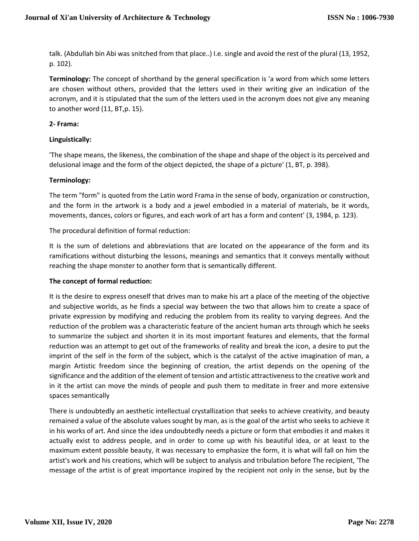talk. (Abdullah bin Abi was snitched from that place..) I.e. single and avoid the rest of the plural (13, 1952, p. 102).

**Terminology:** The concept of shorthand by the general specification is 'a word from which some letters are chosen without others, provided that the letters used in their writing give an indication of the acronym, and it is stipulated that the sum of the letters used in the acronym does not give any meaning to another word (11, BT,p. 15).

## **2- Frama:**

## **Linguistically:**

'The shape means, the likeness, the combination of the shape and shape of the object is its perceived and delusional image and the form of the object depicted, the shape of a picture' (1, BT, p. 398).

## **Terminology:**

The term "form" is quoted from the Latin word Frama in the sense of body, organization or construction, and the form in the artwork is a body and a jewel embodied in a material of materials, be it words, movements, dances, colors or figures, and each work of art has a form and content' (3, 1984, p. 123).

The procedural definition of formal reduction:

It is the sum of deletions and abbreviations that are located on the appearance of the form and its ramifications without disturbing the lessons, meanings and semantics that it conveys mentally without reaching the shape monster to another form that is semantically different.

## **The concept of formal reduction:**

It is the desire to express oneself that drives man to make his art a place of the meeting of the objective and subjective worlds, as he finds a special way between the two that allows him to create a space of private expression by modifying and reducing the problem from its reality to varying degrees. And the reduction of the problem was a characteristic feature of the ancient human arts through which he seeks to summarize the subject and shorten it in its most important features and elements, that the formal reduction was an attempt to get out of the frameworks of reality and break the icon, a desire to put the imprint of the self in the form of the subject, which is the catalyst of the active imagination of man, a margin Artistic freedom since the beginning of creation, the artist depends on the opening of the significance and the addition of the element of tension and artistic attractiveness to the creative work and in it the artist can move the minds of people and push them to meditate in freer and more extensive spaces semantically

There is undoubtedly an aesthetic intellectual crystallization that seeks to achieve creativity, and beauty remained a value of the absolute values sought by man, as is the goal of the artist who seeks to achieve it in his works of art. And since the idea undoubtedly needs a picture or form that embodies it and makes it actually exist to address people, and in order to come up with his beautiful idea, or at least to the maximum extent possible beauty, it was necessary to emphasize the form, it is what will fall on him the artist's work and his creations, which will be subject to analysis and tribulation before The recipient, 'The message of the artist is of great importance inspired by the recipient not only in the sense, but by the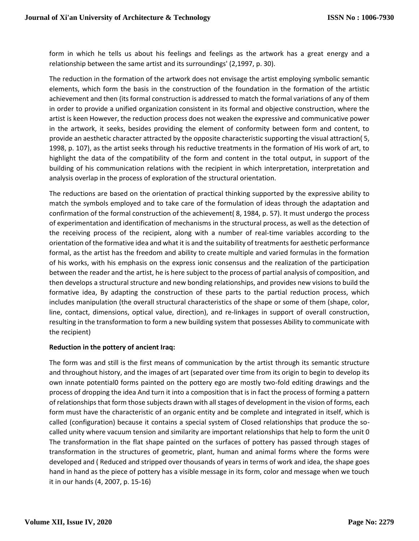form in which he tells us about his feelings and feelings as the artwork has a great energy and a relationship between the same artist and its surroundings' (2,1997, p. 30).

The reduction in the formation of the artwork does not envisage the artist employing symbolic semantic elements, which form the basis in the construction of the foundation in the formation of the artistic achievement and then (its formal construction is addressed to match the formal variations of any of them in order to provide a unified organization consistent in its formal and objective construction, where the artist is keen However, the reduction process does not weaken the expressive and communicative power in the artwork, it seeks, besides providing the element of conformity between form and content, to provide an aesthetic character attracted by the opposite characteristic supporting the visual attraction( 5, 1998, p. 107), as the artist seeks through his reductive treatments in the formation of His work of art, to highlight the data of the compatibility of the form and content in the total output, in support of the building of his communication relations with the recipient in which interpretation, interpretation and analysis overlap in the process of exploration of the structural orientation.

The reductions are based on the orientation of practical thinking supported by the expressive ability to match the symbols employed and to take care of the formulation of ideas through the adaptation and confirmation of the formal construction of the achievement( 8, 1984, p. 57). It must undergo the process of experimentation and identification of mechanisms in the structural process, as well as the detection of the receiving process of the recipient, along with a number of real-time variables according to the orientation of the formative idea and what it is and the suitability of treatments for aesthetic performance formal, as the artist has the freedom and ability to create multiple and varied formulas in the formation of his works, with his emphasis on the express ionic consensus and the realization of the participation between the reader and the artist, he is here subject to the process of partial analysis of composition, and then develops a structural structure and new bonding relationships, and provides new visions to build the formative idea, By adapting the construction of these parts to the partial reduction process, which includes manipulation (the overall structural characteristics of the shape or some of them (shape, color, line, contact, dimensions, optical value, direction), and re-linkages in support of overall construction, resulting in the transformation to form a new building system that possesses Ability to communicate with the recipient)

#### **Reduction in the pottery of ancient Iraq:**

The form was and still is the first means of communication by the artist through its semantic structure and throughout history, and the images of art (separated over time from its origin to begin to develop its own innate potential0 forms painted on the pottery ego are mostly two-fold editing drawings and the process of dropping the idea And turn it into a composition that is in fact the process of forming a pattern of relationships that form those subjects drawn with all stages of development in the vision of forms, each form must have the characteristic of an organic entity and be complete and integrated in itself, which is called (configuration) because it contains a special system of Closed relationships that produce the socalled unity where vacuum tension and similarity are important relationships that help to form the unit 0 The transformation in the flat shape painted on the surfaces of pottery has passed through stages of transformation in the structures of geometric, plant, human and animal forms where the forms were developed and ( Reduced and stripped over thousands of years in terms of work and idea, the shape goes hand in hand as the piece of pottery has a visible message in its form, color and message when we touch it in our hands (4, 2007, p. 15-16)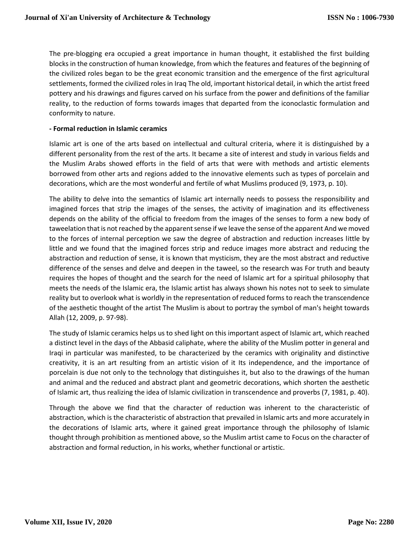The pre-blogging era occupied a great importance in human thought, it established the first building blocks in the construction of human knowledge, from which the features and features of the beginning of the civilized roles began to be the great economic transition and the emergence of the first agricultural settlements, formed the civilized roles in Iraq The old, important historical detail, in which the artist freed pottery and his drawings and figures carved on his surface from the power and definitions of the familiar reality, to the reduction of forms towards images that departed from the iconoclastic formulation and conformity to nature.

### **- Formal reduction in Islamic ceramics**

Islamic art is one of the arts based on intellectual and cultural criteria, where it is distinguished by a different personality from the rest of the arts. It became a site of interest and study in various fields and the Muslim Arabs showed efforts in the field of arts that were with methods and artistic elements borrowed from other arts and regions added to the innovative elements such as types of porcelain and decorations, which are the most wonderful and fertile of what Muslims produced (9, 1973, p. 10).

The ability to delve into the semantics of Islamic art internally needs to possess the responsibility and imagined forces that strip the images of the senses, the activity of imagination and its effectiveness depends on the ability of the official to freedom from the images of the senses to form a new body of taweelation that is not reached by the apparent sense if we leave the sense of the apparent And we moved to the forces of internal perception we saw the degree of abstraction and reduction increases little by little and we found that the imagined forces strip and reduce images more abstract and reducing the abstraction and reduction of sense, it is known that mysticism, they are the most abstract and reductive difference of the senses and delve and deepen in the taweel, so the research was For truth and beauty requires the hopes of thought and the search for the need of Islamic art for a spiritual philosophy that meets the needs of the Islamic era, the Islamic artist has always shown his notes not to seek to simulate reality but to overlook what is worldly in the representation of reduced forms to reach the transcendence of the aesthetic thought of the artist The Muslim is about to portray the symbol of man's height towards Allah (12, 2009, p. 97-98).

The study of Islamic ceramics helps us to shed light on this important aspect of Islamic art, which reached a distinct level in the days of the Abbasid caliphate, where the ability of the Muslim potter in general and Iraqi in particular was manifested, to be characterized by the ceramics with originality and distinctive creativity, it is an art resulting from an artistic vision of it Its independence, and the importance of porcelain is due not only to the technology that distinguishes it, but also to the drawings of the human and animal and the reduced and abstract plant and geometric decorations, which shorten the aesthetic of Islamic art, thus realizing the idea of Islamic civilization in transcendence and proverbs (7, 1981, p. 40).

Through the above we find that the character of reduction was inherent to the characteristic of abstraction, which is the characteristic of abstraction that prevailed in Islamic arts and more accurately in the decorations of Islamic arts, where it gained great importance through the philosophy of Islamic thought through prohibition as mentioned above, so the Muslim artist came to Focus on the character of abstraction and formal reduction, in his works, whether functional or artistic.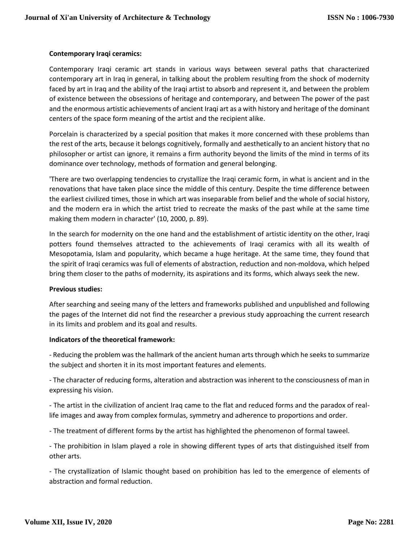## **Contemporary Iraqi ceramics:**

Contemporary Iraqi ceramic art stands in various ways between several paths that characterized contemporary art in Iraq in general, in talking about the problem resulting from the shock of modernity faced by art in Iraq and the ability of the Iraqi artist to absorb and represent it, and between the problem of existence between the obsessions of heritage and contemporary, and between The power of the past and the enormous artistic achievements of ancient Iraqi art as a with history and heritage of the dominant centers of the space form meaning of the artist and the recipient alike.

Porcelain is characterized by a special position that makes it more concerned with these problems than the rest of the arts, because it belongs cognitively, formally and aesthetically to an ancient history that no philosopher or artist can ignore, it remains a firm authority beyond the limits of the mind in terms of its dominance over technology, methods of formation and general belonging.

'There are two overlapping tendencies to crystallize the Iraqi ceramic form, in what is ancient and in the renovations that have taken place since the middle of this century. Despite the time difference between the earliest civilized times, those in which art was inseparable from belief and the whole of social history, and the modern era in which the artist tried to recreate the masks of the past while at the same time making them modern in character' (10, 2000, p. 89).

In the search for modernity on the one hand and the establishment of artistic identity on the other, Iraqi potters found themselves attracted to the achievements of Iraqi ceramics with all its wealth of Mesopotamia, Islam and popularity, which became a huge heritage. At the same time, they found that the spirit of Iraqi ceramics was full of elements of abstraction, reduction and non-moldova, which helped bring them closer to the paths of modernity, its aspirations and its forms, which always seek the new.

#### **Previous studies:**

After searching and seeing many of the letters and frameworks published and unpublished and following the pages of the Internet did not find the researcher a previous study approaching the current research in its limits and problem and its goal and results.

#### **Indicators of the theoretical framework:**

- Reducing the problem was the hallmark of the ancient human arts through which he seeks to summarize the subject and shorten it in its most important features and elements.

- The character of reducing forms, alteration and abstraction was inherent to the consciousness of man in expressing his vision.

- The artist in the civilization of ancient Iraq came to the flat and reduced forms and the paradox of reallife images and away from complex formulas, symmetry and adherence to proportions and order.

- The treatment of different forms by the artist has highlighted the phenomenon of formal taweel.

- The prohibition in Islam played a role in showing different types of arts that distinguished itself from other arts.

- The crystallization of Islamic thought based on prohibition has led to the emergence of elements of abstraction and formal reduction.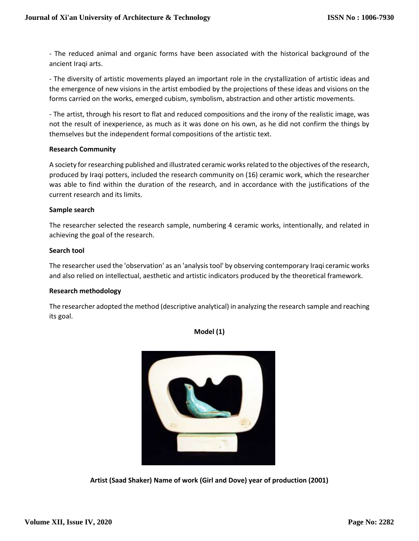- The reduced animal and organic forms have been associated with the historical background of the ancient Iraqi arts.

- The diversity of artistic movements played an important role in the crystallization of artistic ideas and the emergence of new visions in the artist embodied by the projections of these ideas and visions on the forms carried on the works, emerged cubism, symbolism, abstraction and other artistic movements.

- The artist, through his resort to flat and reduced compositions and the irony of the realistic image, was not the result of inexperience, as much as it was done on his own, as he did not confirm the things by themselves but the independent formal compositions of the artistic text.

### **Research Community**

A society for researching published and illustrated ceramic works related to the objectives of the research, produced by Iraqi potters, included the research community on (16) ceramic work, which the researcher was able to find within the duration of the research, and in accordance with the justifications of the current research and its limits.

### **Sample search**

The researcher selected the research sample, numbering 4 ceramic works, intentionally, and related in achieving the goal of the research.

### **Search tool**

The researcher used the 'observation' as an 'analysis tool' by observing contemporary Iraqi ceramic works and also relied on intellectual, aesthetic and artistic indicators produced by the theoretical framework.

## **Research methodology**

The researcher adopted the method (descriptive analytical) in analyzing the research sample and reaching its goal.

## **Model (1)**



**Artist (Saad Shaker) Name of work (Girl and Dove) year of production (2001)**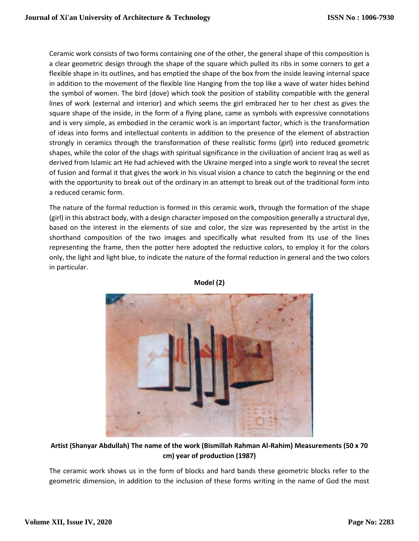Ceramic work consists of two forms containing one of the other, the general shape of this composition is a clear geometric design through the shape of the square which pulled its ribs in some corners to get a flexible shape in its outlines, and has emptied the shape of the box from the inside leaving internal space in addition to the movement of the flexible line Hanging from the top like a wave of water hides behind the symbol of women. The bird (dove) which took the position of stability compatible with the general lines of work (external and interior) and which seems the girl embraced her to her chest as gives the square shape of the inside, in the form of a flying plane, came as symbols with expressive connotations and is very simple, as embodied in the ceramic work is an important factor, which is the transformation of ideas into forms and intellectual contents in addition to the presence of the element of abstraction strongly in ceramics through the transformation of these realistic forms (girl) into reduced geometric shapes, while the color of the shags with spiritual significance in the civilization of ancient Iraq as well as derived from Islamic art He had achieved with the Ukraine merged into a single work to reveal the secret of fusion and formal it that gives the work in his visual vision a chance to catch the beginning or the end with the opportunity to break out of the ordinary in an attempt to break out of the traditional form into a reduced ceramic form.

The nature of the formal reduction is formed in this ceramic work, through the formation of the shape (girl) in this abstract body, with a design character imposed on the composition generally a structural dye, based on the interest in the elements of size and color, the size was represented by the artist in the shorthand composition of the two images and specifically what resulted from Its use of the lines representing the frame, then the potter here adopted the reductive colors, to employ it for the colors only, the light and light blue, to indicate the nature of the formal reduction in general and the two colors in particular.



**Model (2)**

**Artist (Shanyar Abdullah) The name of the work (Bismillah Rahman Al-Rahim) Measurements (50 x 70 cm) year of production (1987)**

The ceramic work shows us in the form of blocks and hard bands these geometric blocks refer to the geometric dimension, in addition to the inclusion of these forms writing in the name of God the most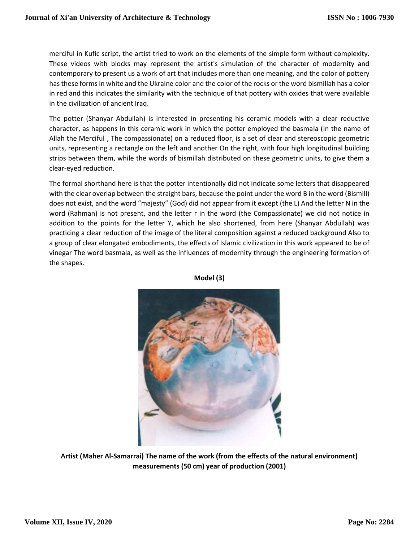merciful in Kufic script, the artist tried to work on the elements of the simple form without complexity. These videos with blocks may represent the artist's simulation of the character of modernity and contemporary to present us a work of art that includes more than one meaning, and the color of pottery has these forms in white and the Ukraine color and the color of the rocks or the word bismillah has a color in red and this indicates the similarity with the technique of that pottery with oxides that were available in the civilization of ancient Iraq.

The potter (Shanyar Abdullah) is interested in presenting his ceramic models with a clear reductive character, as happens in this ceramic work in which the potter employed the basmala (In the name of Allah the Merciful , The compassionate) on a reduced floor, is a set of clear and stereoscopic geometric units, representing a rectangle on the left and another On the right, with four high longitudinal building strips between them, while the words of bismillah distributed on these geometric units, to give them a clear-eyed reduction.

The formal shorthand here is that the potter intentionally did not indicate some letters that disappeared with the clear overlap between the straight bars, because the point under the word B in the word (Bismill) does not exist, and the word "majesty" (God) did not appear from it except (the L) And the letter N in the word (Rahman) is not present, and the letter r in the word (the Compassionate) we did not notice in addition to the points for the letter Y, which he also shortened, from here (Shanyar Abdullah) was practicing a clear reduction of the image of the literal composition against a reduced background Also to a group of clear elongated embodiments, the effects of Islamic civilization in this work appeared to be of vinegar The word basmala, as well as the influences of modernity through the engineering formation of the shapes.



**Model (3)**

**Artist (Maher Al-Samarrai) The name of the work (from the effects of the natural environment) measurements (50 cm) year of production (2001)**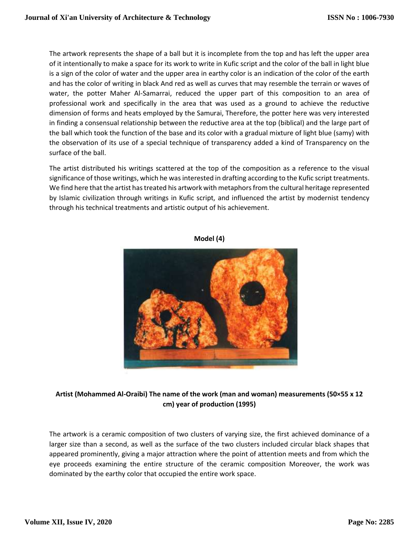The artwork represents the shape of a ball but it is incomplete from the top and has left the upper area of it intentionally to make a space for its work to write in Kufic script and the color of the ball in light blue is a sign of the color of water and the upper area in earthy color is an indication of the color of the earth and has the color of writing in black And red as well as curves that may resemble the terrain or waves of water, the potter Maher Al-Samarrai, reduced the upper part of this composition to an area of professional work and specifically in the area that was used as a ground to achieve the reductive dimension of forms and heats employed by the Samurai, Therefore, the potter here was very interested in finding a consensual relationship between the reductive area at the top (biblical) and the large part of the ball which took the function of the base and its color with a gradual mixture of light blue (samy) with the observation of its use of a special technique of transparency added a kind of Transparency on the surface of the ball.

The artist distributed his writings scattered at the top of the composition as a reference to the visual significance of those writings, which he was interested in drafting according to the Kufic script treatments. We find here that the artist has treated his artwork with metaphors from the cultural heritage represented by Islamic civilization through writings in Kufic script, and influenced the artist by modernist tendency through his technical treatments and artistic output of his achievement.



# **Model (4)**

# **Artist (Mohammed Al-Oraibi) The name of the work (man and woman) measurements (50×55 x 12 cm) year of production (1995)**

The artwork is a ceramic composition of two clusters of varying size, the first achieved dominance of a larger size than a second, as well as the surface of the two clusters included circular black shapes that appeared prominently, giving a major attraction where the point of attention meets and from which the eye proceeds examining the entire structure of the ceramic composition Moreover, the work was dominated by the earthy color that occupied the entire work space.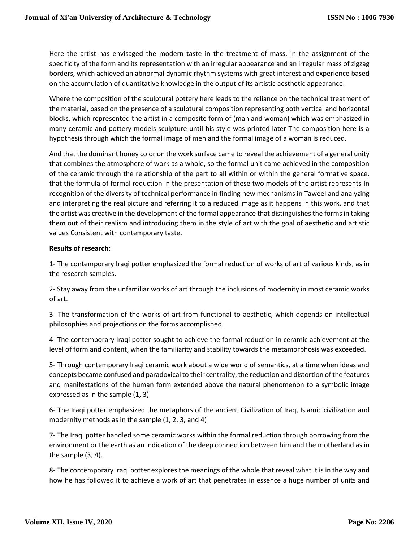Here the artist has envisaged the modern taste in the treatment of mass, in the assignment of the specificity of the form and its representation with an irregular appearance and an irregular mass of zigzag borders, which achieved an abnormal dynamic rhythm systems with great interest and experience based on the accumulation of quantitative knowledge in the output of its artistic aesthetic appearance.

Where the composition of the sculptural pottery here leads to the reliance on the technical treatment of the material, based on the presence of a sculptural composition representing both vertical and horizontal blocks, which represented the artist in a composite form of (man and woman) which was emphasized in many ceramic and pottery models sculpture until his style was printed later The composition here is a hypothesis through which the formal image of men and the formal image of a woman is reduced.

And that the dominant honey color on the work surface came to reveal the achievement of a general unity that combines the atmosphere of work as a whole, so the formal unit came achieved in the composition of the ceramic through the relationship of the part to all within or within the general formative space, that the formula of formal reduction in the presentation of these two models of the artist represents In recognition of the diversity of technical performance in finding new mechanisms in Taweel and analyzing and interpreting the real picture and referring it to a reduced image as it happens in this work, and that the artist was creative in the development of the formal appearance that distinguishes the forms in taking them out of their realism and introducing them in the style of art with the goal of aesthetic and artistic values Consistent with contemporary taste.

## **Results of research:**

1- The contemporary Iraqi potter emphasized the formal reduction of works of art of various kinds, as in the research samples.

2- Stay away from the unfamiliar works of art through the inclusions of modernity in most ceramic works of art.

3- The transformation of the works of art from functional to aesthetic, which depends on intellectual philosophies and projections on the forms accomplished.

4- The contemporary Iraqi potter sought to achieve the formal reduction in ceramic achievement at the level of form and content, when the familiarity and stability towards the metamorphosis was exceeded.

5- Through contemporary Iraqi ceramic work about a wide world of semantics, at a time when ideas and concepts became confused and paradoxical to their centrality, the reduction and distortion of the features and manifestations of the human form extended above the natural phenomenon to a symbolic image expressed as in the sample (1, 3)

6- The Iraqi potter emphasized the metaphors of the ancient Civilization of Iraq, Islamic civilization and modernity methods as in the sample (1, 2, 3, and 4)

7- The Iraqi potter handled some ceramic works within the formal reduction through borrowing from the environment or the earth as an indication of the deep connection between him and the motherland as in the sample (3, 4).

8- The contemporary Iraqi potter explores the meanings of the whole that reveal what it is in the way and how he has followed it to achieve a work of art that penetrates in essence a huge number of units and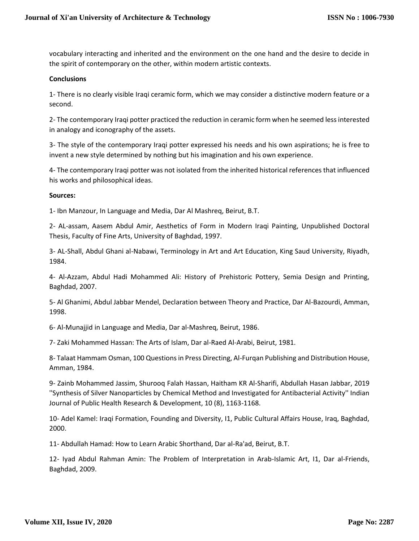vocabulary interacting and inherited and the environment on the one hand and the desire to decide in the spirit of contemporary on the other, within modern artistic contexts.

### **Conclusions**

1- There is no clearly visible Iraqi ceramic form, which we may consider a distinctive modern feature or a second.

2- The contemporary Iraqi potter practiced the reduction in ceramic form when he seemed less interested in analogy and iconography of the assets.

3- The style of the contemporary Iraqi potter expressed his needs and his own aspirations; he is free to invent a new style determined by nothing but his imagination and his own experience.

4- The contemporary Iraqi potter was not isolated from the inherited historical references that influenced his works and philosophical ideas.

#### **Sources:**

1- Ibn Manzour, In Language and Media, Dar Al Mashreq, Beirut, B.T.

2- AL-assam, Aasem Abdul Amir, Aesthetics of Form in Modern Iraqi Painting, Unpublished Doctoral Thesis, Faculty of Fine Arts, University of Baghdad, 1997.

3- AL-Shall, Abdul Ghani al-Nabawi, Terminology in Art and Art Education, King Saud University, Riyadh, 1984.

4- Al-Azzam, Abdul Hadi Mohammed Ali: History of Prehistoric Pottery, Semia Design and Printing, Baghdad, 2007.

5- Al Ghanimi, Abdul Jabbar Mendel, Declaration between Theory and Practice, Dar Al-Bazourdi, Amman, 1998.

6- Al-Munajjid in Language and Media, Dar al-Mashreq, Beirut, 1986.

7- Zaki Mohammed Hassan: The Arts of Islam, Dar al-Raed Al-Arabi, Beirut, 1981.

8- Talaat Hammam Osman, 100 Questions in Press Directing, Al-Furqan Publishing and Distribution House, Amman, 1984.

9- Zainb Mohammed Jassim, Shurooq Falah Hassan, Haitham KR Al-Sharifi, Abdullah Hasan Jabbar, 2019 ''Synthesis of Silver Nanoparticles by Chemical Method and Investigated for Antibacterial Activity'' Indian Journal of Public Health Research & Development, 10 (8), 1163-1168.

10- Adel Kamel: Iraqi Formation, Founding and Diversity, I1, Public Cultural Affairs House, Iraq, Baghdad, 2000.

11- Abdullah Hamad: How to Learn Arabic Shorthand, Dar al-Ra'ad, Beirut, B.T.

12- Iyad Abdul Rahman Amin: The Problem of Interpretation in Arab-Islamic Art, I1, Dar al-Friends, Baghdad, 2009.